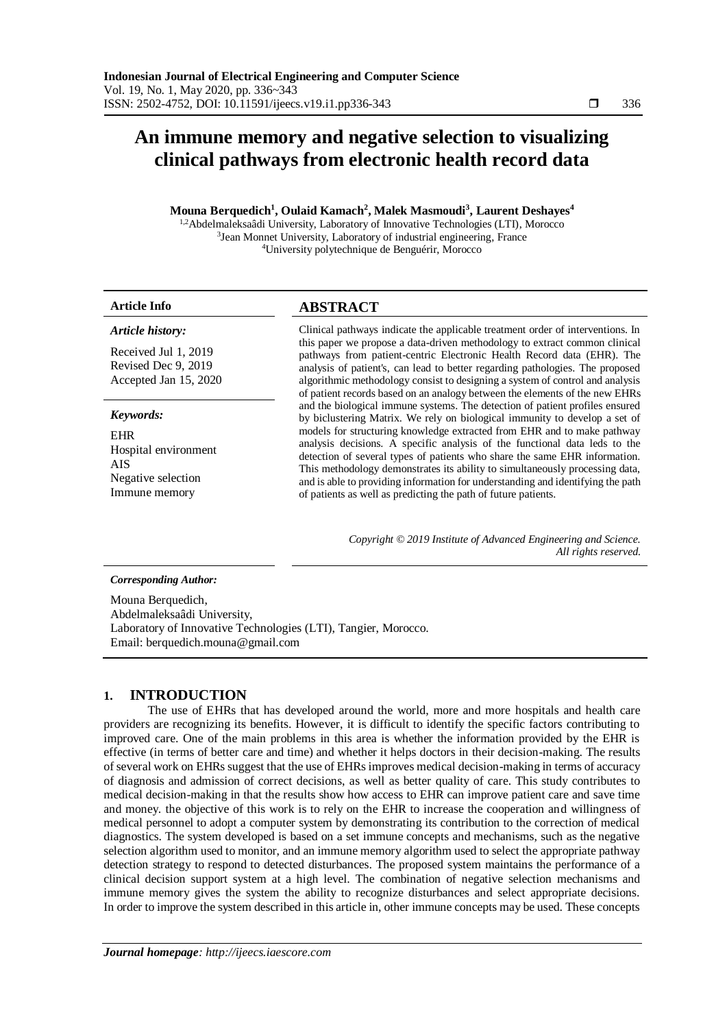# **An immune memory and negative selection to visualizing clinical pathways from electronic health record data**

**Mouna Berquedich<sup>1</sup> , Oulaid Kamach<sup>2</sup> , Malek Masmoudi<sup>3</sup> , Laurent Deshayes<sup>4</sup>**

1,2Abdelmaleksaâdi University, Laboratory of Innovative Technologies (LTI), Morocco <sup>3</sup> Jean Monnet University, Laboratory of industrial engineering, France <sup>4</sup>University polytechnique de Benguérir, Morocco

# **Article Info ABSTRACT**

| Article history:                                                                        | Clinical pathways indicate the applicable treatment order of interventions. In                                                                                                                                                                                                                                                                                                                                                                                           |
|-----------------------------------------------------------------------------------------|--------------------------------------------------------------------------------------------------------------------------------------------------------------------------------------------------------------------------------------------------------------------------------------------------------------------------------------------------------------------------------------------------------------------------------------------------------------------------|
| Received Jul 1, 2019<br>Revised Dec 9, 2019<br>Accepted Jan 15, 2020                    | this paper we propose a data-driven methodology to extract common clinical<br>pathways from patient-centric Electronic Health Record data (EHR). The<br>analysis of patient's, can lead to better regarding pathologies. The proposed<br>algorithmic methodology consist to designing a system of control and analysis<br>of patient records based on an analogy between the elements of the new EHRs                                                                    |
| Keywords:                                                                               | and the biological immune systems. The detection of patient profiles ensured<br>by biclustering Matrix. We rely on biological immunity to develop a set of                                                                                                                                                                                                                                                                                                               |
| <b>EHR</b><br>Hospital environment<br><b>AIS</b><br>Negative selection<br>Immune memory | models for structuring knowledge extracted from EHR and to make pathway<br>analysis decisions. A specific analysis of the functional data leds to the<br>detection of several types of patients who share the same EHR information.<br>This methodology demonstrates its ability to simultaneously processing data,<br>and is able to providing information for understanding and identifying the path<br>of patients as well as predicting the path of future patients. |

*Copyright © 2019 Institute of Advanced Engineering and Science. All rights reserved.*

# *Corresponding Author:*

Mouna Berquedich, Abdelmaleksaâdi University, Laboratory of Innovative Technologies (LTI), Tangier, Morocco. Email: berquedich.mouna@gmail.com

# **1. INTRODUCTION**

The use of EHRs that has developed around the world, more and more hospitals and health care providers are recognizing its benefits. However, it is difficult to identify the specific factors contributing to improved care. One of the main problems in this area is whether the information provided by the EHR is effective (in terms of better care and time) and whether it helps doctors in their decision-making. The results of several work on EHRs suggest that the use of EHRs improves medical decision-making in terms of accuracy of diagnosis and admission of correct decisions, as well as better quality of care. This study contributes to medical decision-making in that the results show how access to EHR can improve patient care and save time and money. the objective of this work is to rely on the EHR to increase the cooperation and willingness of medical personnel to adopt a computer system by demonstrating its contribution to the correction of medical diagnostics. The system developed is based on a set immune concepts and mechanisms, such as the negative selection algorithm used to monitor, and an immune memory algorithm used to select the appropriate pathway detection strategy to respond to detected disturbances. The proposed system maintains the performance of a clinical decision support system at a high level. The combination of negative selection mechanisms and immune memory gives the system the ability to recognize disturbances and select appropriate decisions. In order to improve the system described in this article in, other immune concepts may be used. These concepts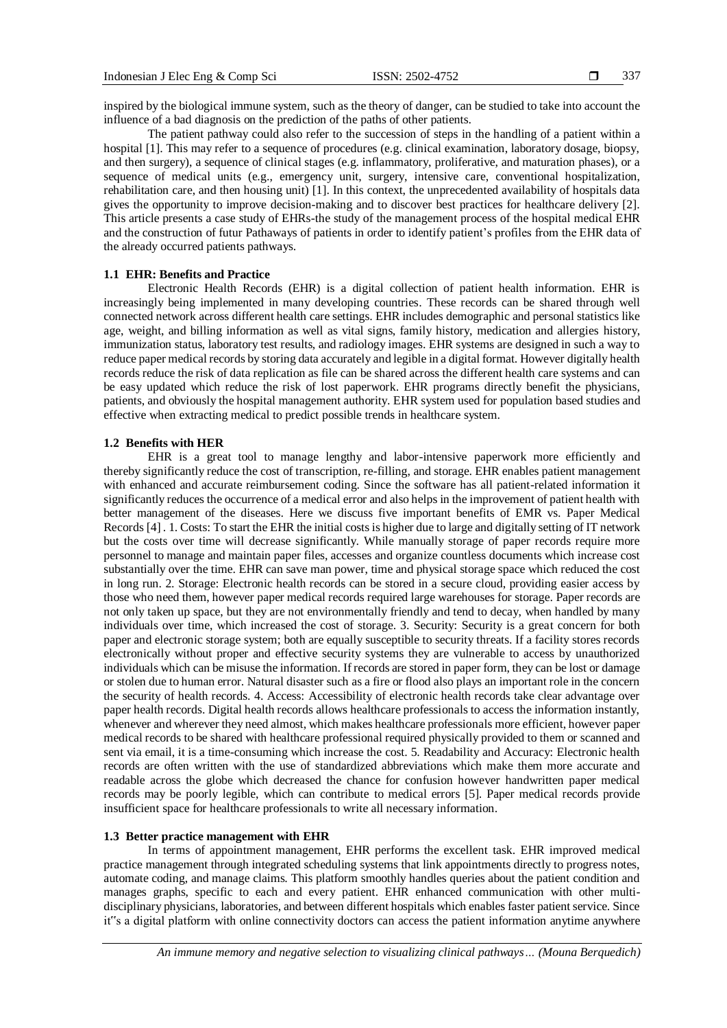inspired by the biological immune system, such as the theory of danger, can be studied to take into account the influence of a bad diagnosis on the prediction of the paths of other patients.

The patient pathway could also refer to the succession of steps in the handling of a patient within a hospital [1]. This may refer to a sequence of procedures (e.g. clinical examination, laboratory dosage, biopsy, and then surgery), a sequence of clinical stages (e.g. inflammatory, proliferative, and maturation phases), or a sequence of medical units (e.g., emergency unit, surgery, intensive care, conventional hospitalization, rehabilitation care, and then housing unit) [1]. In this context, the unprecedented availability of hospitals data gives the opportunity to improve decision-making and to discover best practices for healthcare delivery [2]. This article presents a case study of EHRs-the study of the management process of the hospital medical EHR and the construction of futur Pathaways of patients in order to identify patient's profiles from the EHR data of the already occurred patients pathways.

# **1.1 EHR: Benefits and Practice**

Electronic Health Records (EHR) is a digital collection of patient health information. EHR is increasingly being implemented in many developing countries. These records can be shared through well connected network across different health care settings. EHR includes demographic and personal statistics like age, weight, and billing information as well as vital signs, family history, medication and allergies history, immunization status, laboratory test results, and radiology images. EHR systems are designed in such a way to reduce paper medical records by storing data accurately and legible in a digital format. However digitally health records reduce the risk of data replication as file can be shared across the different health care systems and can be easy updated which reduce the risk of lost paperwork. EHR programs directly benefit the physicians, patients, and obviously the hospital management authority. EHR system used for population based studies and effective when extracting medical to predict possible trends in healthcare system.

# **1.2 Benefits with HER**

EHR is a great tool to manage lengthy and labor-intensive paperwork more efficiently and thereby significantly reduce the cost of transcription, re-filling, and storage. EHR enables patient management with enhanced and accurate reimbursement coding. Since the software has all patient-related information it significantly reduces the occurrence of a medical error and also helps in the improvement of patient health with better management of the diseases. Here we discuss five important benefits of EMR vs. Paper Medical Records [4] . 1. Costs: To start the EHR the initial costs is higher due to large and digitally setting of IT network but the costs over time will decrease significantly. While manually storage of paper records require more personnel to manage and maintain paper files, accesses and organize countless documents which increase cost substantially over the time. EHR can save man power, time and physical storage space which reduced the cost in long run. 2. Storage: Electronic health records can be stored in a secure cloud, providing easier access by those who need them, however paper medical records required large warehouses for storage. Paper records are not only taken up space, but they are not environmentally friendly and tend to decay, when handled by many individuals over time, which increased the cost of storage. 3. Security: Security is a great concern for both paper and electronic storage system; both are equally susceptible to security threats. If a facility stores records electronically without proper and effective security systems they are vulnerable to access by unauthorized individuals which can be misuse the information. If records are stored in paper form, they can be lost or damage or stolen due to human error. Natural disaster such as a fire or flood also plays an important role in the concern the security of health records. 4. Access: Accessibility of electronic health records take clear advantage over paper health records. Digital health records allows healthcare professionals to access the information instantly, whenever and wherever they need almost, which makes healthcare professionals more efficient, however paper medical records to be shared with healthcare professional required physically provided to them or scanned and sent via email, it is a time-consuming which increase the cost. 5. Readability and Accuracy: Electronic health records are often written with the use of standardized abbreviations which make them more accurate and readable across the globe which decreased the chance for confusion however handwritten paper medical records may be poorly legible, which can contribute to medical errors [5]. Paper medical records provide insufficient space for healthcare professionals to write all necessary information.

# **1.3 Better practice management with EHR**

In terms of appointment management, EHR performs the excellent task. EHR improved medical practice management through integrated scheduling systems that link appointments directly to progress notes, automate coding, and manage claims. This platform smoothly handles queries about the patient condition and manages graphs, specific to each and every patient. EHR enhanced communication with other multidisciplinary physicians, laboratories, and between different hospitals which enables faster patient service. Since it"s a digital platform with online connectivity doctors can access the patient information anytime anywhere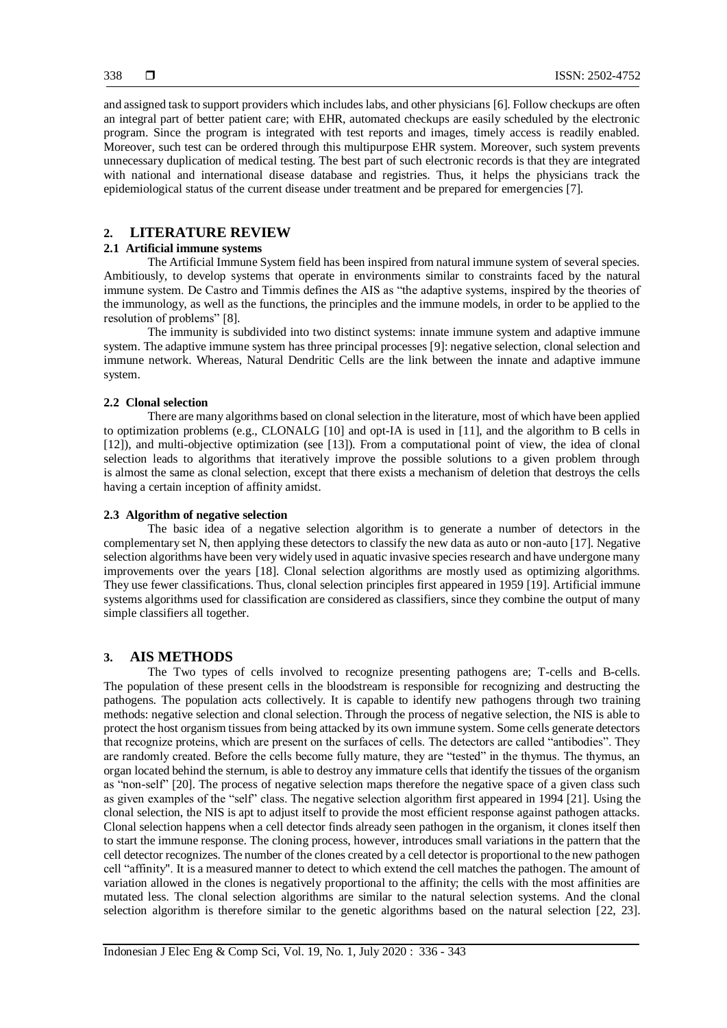and assigned task to support providers which includes labs, and other physicians [6]. Follow checkups are often an integral part of better patient care; with EHR, automated checkups are easily scheduled by the electronic program. Since the program is integrated with test reports and images, timely access is readily enabled. Moreover, such test can be ordered through this multipurpose EHR system. Moreover, such system prevents unnecessary duplication of medical testing. The best part of such electronic records is that they are integrated with national and international disease database and registries. Thus, it helps the physicians track the epidemiological status of the current disease under treatment and be prepared for emergencies [7].

# **2. LITERATURE REVIEW**

# **2.1 Artificial immune systems**

The Artificial Immune System field has been inspired from natural immune system of several species. Ambitiously, to develop systems that operate in environments similar to constraints faced by the natural immune system. De Castro and Timmis defines the AIS as "the adaptive systems, inspired by the theories of the immunology, as well as the functions, the principles and the immune models, in order to be applied to the resolution of problems" [8].

The immunity is subdivided into two distinct systems: innate immune system and adaptive immune system. The adaptive immune system has three principal processes [9]: negative selection, clonal selection and immune network. Whereas, Natural Dendritic Cells are the link between the innate and adaptive immune system.

## **2.2 Clonal selection**

There are many algorithms based on clonal selection in the literature, most of which have been applied to optimization problems (e.g., CLONALG [10] and opt-IA is used in [11], and the algorithm to B cells in [12]), and multi-objective optimization (see [13]). From a computational point of view, the idea of clonal selection leads to algorithms that iteratively improve the possible solutions to a given problem through is almost the same as clonal selection, except that there exists a mechanism of deletion that destroys the cells having a certain inception of affinity amidst.

# **2.3 Algorithm of negative selection**

The basic idea of a negative selection algorithm is to generate a number of detectors in the complementary set N, then applying these detectors to classify the new data as auto or non-auto [17]. Negative selection algorithms have been very widely used in aquatic invasive species research and have undergone many improvements over the years [18]. Clonal selection algorithms are mostly used as optimizing algorithms. They use fewer classifications. Thus, clonal selection principles first appeared in 1959 [19]. Artificial immune systems algorithms used for classification are considered as classifiers, since they combine the output of many simple classifiers all together.

## **3. AIS METHODS**

The Two types of cells involved to recognize presenting pathogens are; T-cells and B-cells. The population of these present cells in the bloodstream is responsible for recognizing and destructing the pathogens. The population acts collectively. It is capable to identify new pathogens through two training methods: negative selection and clonal selection. Through the process of negative selection, the NIS is able to protect the host organism tissues from being attacked by its own immune system. Some cells generate detectors that recognize proteins, which are present on the surfaces of cells. The detectors are called "antibodies". They are randomly created. Before the cells become fully mature, they are "tested" in the thymus. The thymus, an organ located behind the sternum, is able to destroy any immature cells that identify the tissues of the organism as "non-self" [20]. The process of negative selection maps therefore the negative space of a given class such as given examples of the "self" class. The negative selection algorithm first appeared in 1994 [21]. Using the clonal selection, the NIS is apt to adjust itself to provide the most efficient response against pathogen attacks. Clonal selection happens when a cell detector finds already seen pathogen in the organism, it clones itself then to start the immune response. The cloning process, however, introduces small variations in the pattern that the cell detector recognizes. The number of the clones created by a cell detector is proportional to the new pathogen cell "affinity". It is a measured manner to detect to which extend the cell matches the pathogen. The amount of variation allowed in the clones is negatively proportional to the affinity; the cells with the most affinities are mutated less. The clonal selection algorithms are similar to the natural selection systems. And the clonal selection algorithm is therefore similar to the genetic algorithms based on the natural selection [22, 23].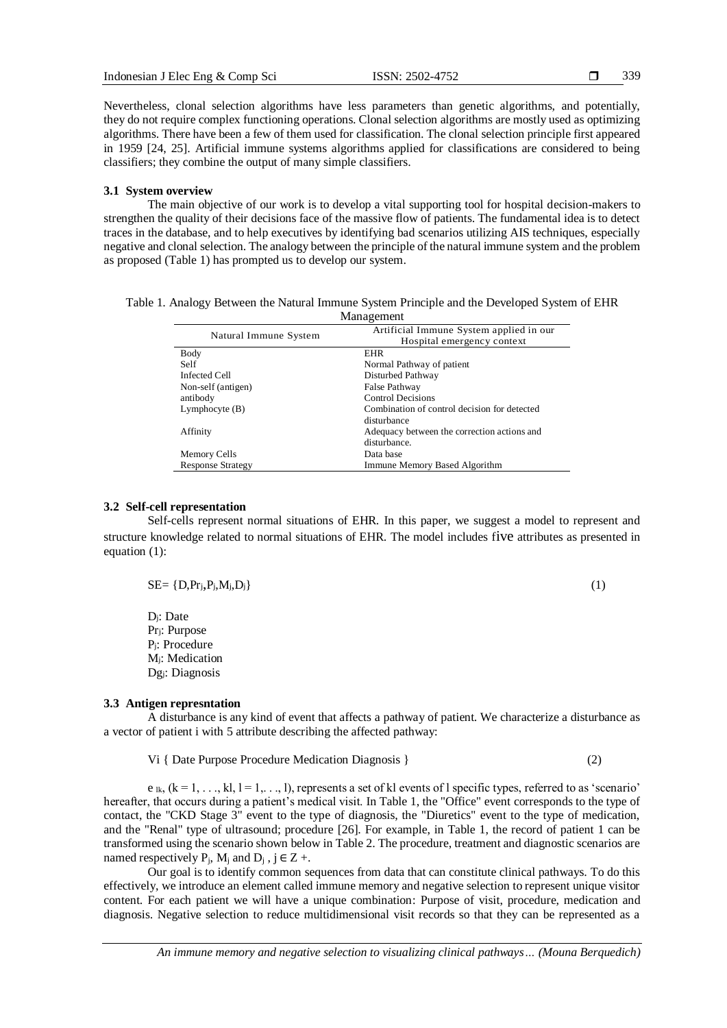339

Nevertheless, clonal selection algorithms have less parameters than genetic algorithms, and potentially, they do not require complex functioning operations. Clonal selection algorithms are mostly used as optimizing algorithms. There have been a few of them used for classification. The clonal selection principle first appeared in 1959 [24, 25]. Artificial immune systems algorithms applied for classifications are considered to being classifiers; they combine the output of many simple classifiers.

#### **3.1 System overview**

The main objective of our work is to develop a vital supporting tool for hospital decision-makers to strengthen the quality of their decisions face of the massive flow of patients. The fundamental idea is to detect traces in the database, and to help executives by identifying bad scenarios utilizing AIS techniques, especially negative and clonal selection. The analogy between the principle of the natural immune system and the problem as proposed (Table 1) has prompted us to develop our system.

| Table 1. Analogy Between the Natural Immune System Principle and the Developed System of EHR |            |  |
|----------------------------------------------------------------------------------------------|------------|--|
|                                                                                              | Management |  |

|                          | Artificial Immune System applied in our      |
|--------------------------|----------------------------------------------|
| Natural Immune System    | Hospital emergency context                   |
| Body                     | <b>EHR</b>                                   |
| Self                     | Normal Pathway of patient                    |
| <b>Infected Cell</b>     | Disturbed Pathway                            |
| Non-self (antigen)       | False Pathway                                |
| antibody                 | <b>Control Decisions</b>                     |
| Lymphocyte $(B)$         | Combination of control decision for detected |
|                          | disturbance                                  |
| Affinity                 | Adequacy between the correction actions and  |
|                          | disturbance.                                 |
| Memory Cells             | Data base                                    |
| <b>Response Strategy</b> | Immune Memory Based Algorithm                |

## **3.2 Self-cell representation**

Self-cells represent normal situations of EHR. In this paper, we suggest a model to represent and structure knowledge related to normal situations of EHR. The model includes five attributes as presented in equation (1):

$$
SE = \{D, Pr_j, P_j, M_j, D_j\} \tag{1}
$$

Dj: Date Prj: Purpose Pj: Procedure Mj: Medication Dgj: Diagnosis

# **3.3 Antigen represntation**

A disturbance is any kind of event that affects a pathway of patient. We characterize a disturbance as a vector of patient i with 5 attribute describing the affected pathway:

Vi { Date Purpose Procedure Medication Diagnosis } (2)

 $e_{ik}$ ,  $(k = 1, \ldots, k]$ ,  $l = 1, \ldots, l$ ), represents a set of kl events of l specific types, referred to as 'scenario' hereafter, that occurs during a patient's medical visit. In Table 1, the "Office" event corresponds to the type of contact, the "CKD Stage 3" event to the type of diagnosis, the "Diuretics" event to the type of medication, and the "Renal" type of ultrasound; procedure [26]. For example, in Table 1, the record of patient 1 can be transformed using the scenario shown below in Table 2. The procedure, treatment and diagnostic scenarios are named respectively  $P_i$ ,  $M_i$  and  $D_i$ ,  $j \in Z +$ .

Our goal is to identify common sequences from data that can constitute clinical pathways. To do this effectively, we introduce an element called immune memory and negative selection to represent unique visitor content. For each patient we will have a unique combination: Purpose of visit, procedure, medication and diagnosis. Negative selection to reduce multidimensional visit records so that they can be represented as a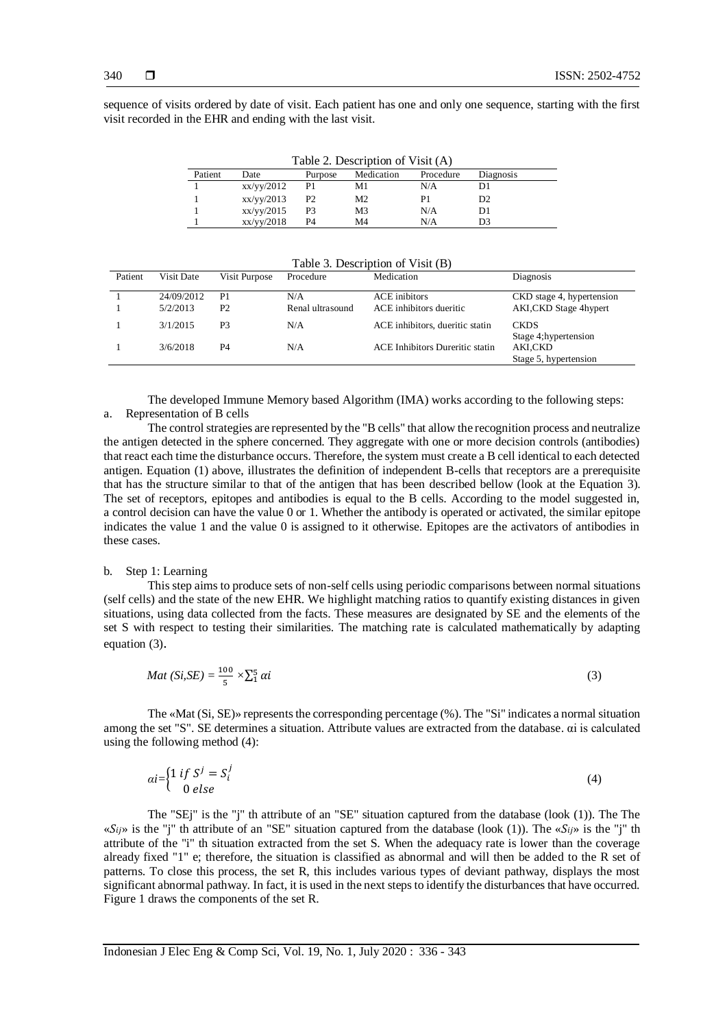sequence of visits ordered by date of visit. Each patient has one and only one sequence, starting with the first visit recorded in the EHR and ending with the last visit.

| Table 2. Description of Visit (A) |            |                |            |           |                |
|-----------------------------------|------------|----------------|------------|-----------|----------------|
| Patient                           | Date       | Purpose        | Medication | Procedure | Diagnosis      |
|                                   | xx/yy/2012 | P1             | M1         | N/A       | D1             |
|                                   | xx/yy/2013 | P <sub>2</sub> | М2         | P1        | D <sub>2</sub> |
|                                   | xx/yy/2015 | P <sub>3</sub> | M3         | N/A       | D1             |
|                                   | xx/yy/2018 | P4             | M4         | N/A       | D3             |

Table 3. Description of Visit (B)

| Patient | Visit Date | Visit Purpose  | Procedure        | Medication                      | Diagnosis                                                 |
|---------|------------|----------------|------------------|---------------------------------|-----------------------------------------------------------|
|         | 24/09/2012 | P <sub>1</sub> | N/A              | <b>ACE</b> inibitors            | CKD stage 4, hypertension                                 |
|         | 5/2/2013   | P <sub>2</sub> | Renal ultrasound | ACE inhibitors dueritic         | AKI, CKD Stage 4hypert                                    |
|         | 3/1/2015   | P3             | N/A              | ACE inhibitors, dueritic statin | <b>CKDS</b>                                               |
|         | 3/6/2018   | P4             | N/A              | ACE Inhibitors Dureritic statin | Stage 4; hypertension<br>AKI,CKD<br>Stage 5, hypertension |

The developed Immune Memory based Algorithm (IMA) works according to the following steps: a. Representation of B cells

The control strategies are represented by the "B cells" that allow the recognition process and neutralize the antigen detected in the sphere concerned. They aggregate with one or more decision controls (antibodies) that react each time the disturbance occurs. Therefore, the system must create a B cell identical to each detected antigen. Equation (1) above, illustrates the definition of independent B-cells that receptors are a prerequisite that has the structure similar to that of the antigen that has been described bellow (look at the Equation 3). The set of receptors, epitopes and antibodies is equal to the B cells. According to the model suggested in, a control decision can have the value 0 or 1. Whether the antibody is operated or activated, the similar epitope indicates the value 1 and the value 0 is assigned to it otherwise. Epitopes are the activators of antibodies in these cases.

#### b. Step 1: Learning

This step aims to produce sets of non-self cells using periodic comparisons between normal situations (self cells) and the state of the new EHR. We highlight matching ratios to quantify existing distances in given situations, using data collected from the facts. These measures are designated by SE and the elements of the set S with respect to testing their similarities. The matching rate is calculated mathematically by adapting equation (3).

$$
Mat(Si, SE) = \frac{100}{5} \times \sum_{i=1}^{5} \alpha i
$$
 (3)

The «Mat (Si, SE)» represents the corresponding percentage (%). The "Si" indicates a normal situation among the set "S". SE determines a situation. Attribute values are extracted from the database. αi is calculated using the following method  $(4)$ :

$$
ai = \begin{cases} 1 \text{ if } S^j = S_i^j \\ 0 \text{ else} \end{cases} \tag{4}
$$

The "SEj" is the "j" th attribute of an "SE" situation captured from the database (look (1)). The The « $S_{ij}$ » is the "j" th attribute of an "SE" situation captured from the database (look (1)). The « $S_{ij}$ » is the "j" th attribute of the "i" th situation extracted from the set S. When the adequacy rate is lower than the coverage already fixed "1" e; therefore, the situation is classified as abnormal and will then be added to the R set of patterns. To close this process, the set R, this includes various types of deviant pathway, displays the most significant abnormal pathway. In fact, it is used in the next steps to identify the disturbances that have occurred. Figure 1 draws the components of the set R.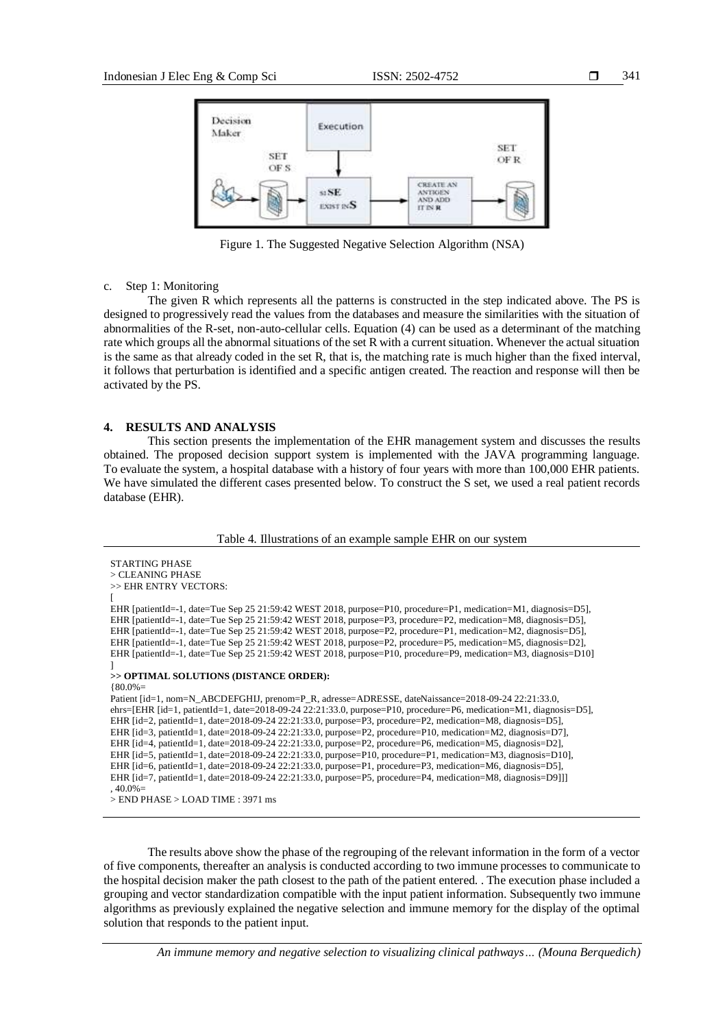

Figure 1. The Suggested Negative Selection Algorithm (NSA)

#### c. Step 1: Monitoring

The given R which represents all the patterns is constructed in the step indicated above. The PS is designed to progressively read the values from the databases and measure the similarities with the situation of abnormalities of the R-set, non-auto-cellular cells. Equation (4) can be used as a determinant of the matching rate which groups all the abnormal situations of the set R with a current situation. Whenever the actual situation is the same as that already coded in the set R, that is, the matching rate is much higher than the fixed interval, it follows that perturbation is identified and a specific antigen created. The reaction and response will then be activated by the PS.

#### **4. RESULTS AND ANALYSIS**

This section presents the implementation of the EHR management system and discusses the results obtained. The proposed decision support system is implemented with the JAVA programming language. To evaluate the system, a hospital database with a history of four years with more than 100,000 EHR patients. We have simulated the different cases presented below. To construct the S set, we used a real patient records database (EHR).

Table 4. Illustrations of an example sample EHR on our system

```
STARTING PHASE
> CLEANING PHASE
>> EHR ENTRY VECTORS: 
[
EHR [patientId=-1, date=Tue Sep 25 21:59:42 WEST 2018, purpose=P10, procedure=P1, medication=M1, diagnosis=D5], 
EHR [patientId=-1, date=Tue Sep 25 21:59:42 WEST 2018, purpose=P3, procedure=P2, medication=M8, diagnosis=D5], 
EHR [patientId=-1, date=Tue Sep 25 21:59:42 WEST 2018, purpose=P2, procedure=P1, medication=M2, diagnosis=D5], 
EHR [patientId=-1, date=Tue Sep 25 21:59:42 WEST 2018, purpose=P2, procedure=P5, medication=M5, diagnosis=D2], 
EHR [patientId=-1, date=Tue Sep 25 21:59:42 WEST 2018, purpose=P10, procedure=P9, medication=M3, diagnosis=D10] 
]
>> OPTIMAL SOLUTIONS (DISTANCE ORDER):
{80.0\%}Patient [id=1, nom=N_ABCDEFGHIJ, prenom=P_R, adresse=ADRESSE, dateNaissance=2018-09-24 22:21:33.0,
ehrs=[EHR [id=1, patientId=1, date=2018-09-24 22:21:33.0, purpose=P10, procedure=P6, medication=M1, diagnosis=D5], 
EHR [id=2, patientId=1, date=2018-09-24 22:21:33.0, purpose=P3, procedure=P2, medication=M8, diagnosis=D5], 
EHR [id=3, patientId=1, date=2018-09-24 22:21:33.0, purpose=P2, procedure=P10, medication=M2, diagnosis=D7], 
EHR [id=4, patientId=1, date=2018-09-24 22:21:33.0, purpose=P2, procedure=P6, medication=M5, diagnosis=D2], 
EHR [id=5, patientId=1, date=2018-09-24 22:21:33.0, purpose=P10, procedure=P1, medication=M3, diagnosis=D10], 
EHR [id=6, patientId=1, date=2018-09-24 22:21:33.0, purpose=P1, procedure=P3, medication=M6, diagnosis=D5], 
EHR [id=7, patientId=1, date=2018-09-24 22:21:33.0, purpose=P5, procedure=P4, medication=M8, diagnosis=D9]]] 
40.0\%> END PHASE > LOAD TIME : 3971 ms
```
The results above show the phase of the regrouping of the relevant information in the form of a vector of five components, thereafter an analysis is conducted according to two immune processes to communicate to the hospital decision maker the path closest to the path of the patient entered. . The execution phase included a grouping and vector standardization compatible with the input patient information. Subsequently two immune algorithms as previously explained the negative selection and immune memory for the display of the optimal solution that responds to the patient input.

*An immune memory and negative selection to visualizing clinical pathways… (Mouna Berquedich)*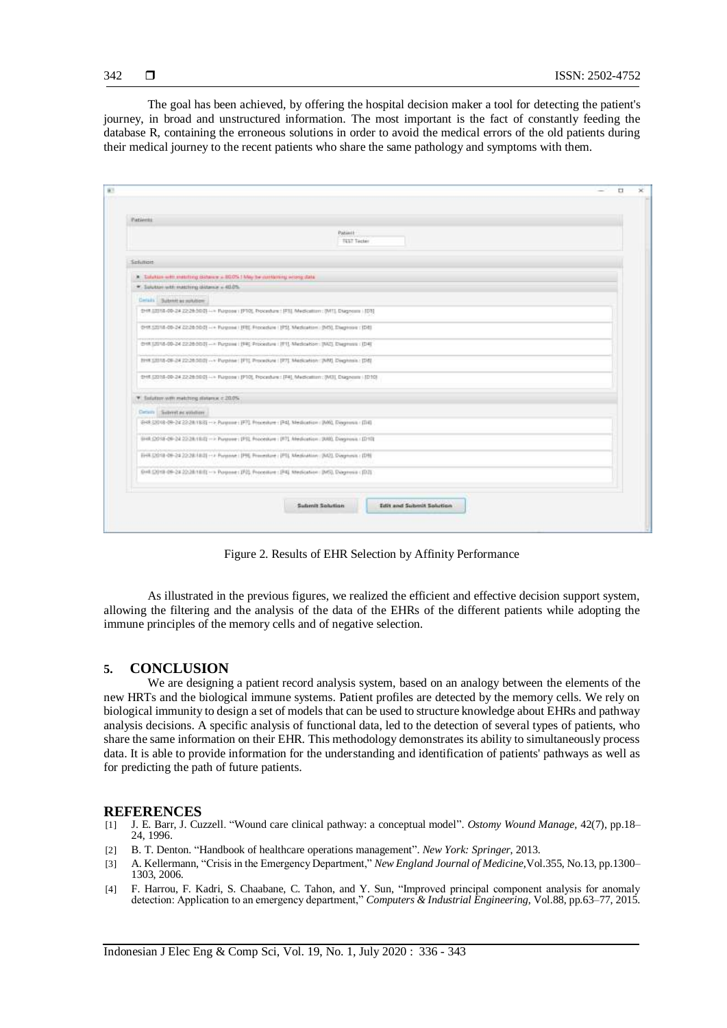The goal has been achieved, by offering the hospital decision maker a tool for detecting the patient's journey, in broad and unstructured information. The most important is the fact of constantly feeding the database R, containing the erroneous solutions in order to avoid the medical errors of the old patients during their medical journey to the recent patients who share the same pathology and symptoms with them.

| Patients                                 |                                                                                                           |  |
|------------------------------------------|-----------------------------------------------------------------------------------------------------------|--|
|                                          | Pazieit:<br>TEST Tester                                                                                   |  |
| Sekmon                                   |                                                                                                           |  |
|                                          |                                                                                                           |  |
| * Sulutan with matthing distance = 40.0% |                                                                                                           |  |
| Cerais Submit as subdom                  |                                                                                                           |  |
|                                          | 2HR 00018-00-24 22:28:30:01 -- Napone: (FT0), Docesbare: [FT], Medication: (MT], Diagnose (103)           |  |
|                                          | 0HR SZ018-00-24 2228 50.0) -- Purgose   IPBE Procedure   IPSL Medication   INSL Diagonos   IDSL           |  |
|                                          |                                                                                                           |  |
|                                          | 018 (2018-00-24 22:26:50.0) - < Purpose   [P4] Procedure   [F1] Medication   [W2] Diegmos   [D4]          |  |
|                                          | 8HR 52018-09-24 22:26:5003 -- > Purphse: [PT]. Procedure : [P7]. Medication: [WW]. Diegninsis : [D8]      |  |
|                                          | 2HR (2015-00-24 Z2:26:500) -- Purpose (JPT0), Processure (PH), Medication: (W3), Diagnose (JD10)          |  |
| * Salutan with metching distance < 20.0% |                                                                                                           |  |
| Detern Subret as valution                |                                                                                                           |  |
|                                          | 2-48 (2018-09-24 22:28 18.8) -> Purgeone (F7). Procedure (F4), Medication (JM0), Diagnosis (JD1).         |  |
|                                          | EHR (2018-08-24 22:28.19.6) -> Purgrame : (PS), Processure : (PT), Medication : (RRS), Disegnosis : (D10) |  |
|                                          | EHR DO18-09-24 22:28:18:01 - > Purpose   IPR Primestore   IPTL Medication   IADI, Diagnosis   IDN         |  |
|                                          | EHR CO19 09-24 22:28:18:01 -> Purpose : IP22 Processor : IP41 Medication : IP63, Diagnosis : (D.3)        |  |
|                                          | Submit Selution<br><b>Edit and Submit Solution</b>                                                        |  |

Figure 2. Results of EHR Selection by Affinity Performance

As illustrated in the previous figures, we realized the efficient and effective decision support system, allowing the filtering and the analysis of the data of the EHRs of the different patients while adopting the immune principles of the memory cells and of negative selection.

# **5. CONCLUSION**

We are designing a patient record analysis system, based on an analogy between the elements of the new HRTs and the biological immune systems. Patient profiles are detected by the memory cells. We rely on biological immunity to design a set of models that can be used to structure knowledge about EHRs and pathway analysis decisions. A specific analysis of functional data, led to the detection of several types of patients, who share the same information on their EHR. This methodology demonstrates its ability to simultaneously process data. It is able to provide information for the understanding and identification of patients' pathways as well as for predicting the path of future patients.

#### **REFERENCES**

- [1] J. E. Barr, J. Cuzzell. "Wound care clinical pathway: a conceptual model". *Ostomy Wound Manage,* 42(7), pp.18– 24, 1996.
- [2] B. T. Denton. "Handbook of healthcare operations management". *New York: Springer*, 2013.
- [3] A. Kellermann, "Crisis in the Emergency Department," *New England Journal of Medicine*,Vol.355, No.13, pp.1300– 1303, 2006.
- [4] F. Harrou, F. Kadri, S. Chaabane, C. Tahon, and Y. Sun, "Improved principal component analysis for anomaly detection: Application to an emergency department," *Computers & Industrial Engineering*, Vol.88, pp.63–77, 2015.